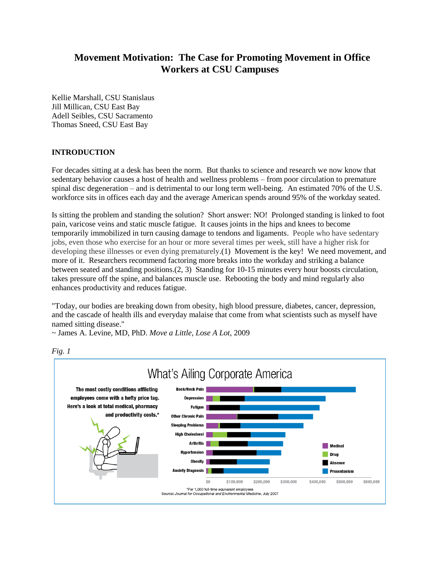# **Movement Motivation: The Case for Promoting Movement in Office Workers at CSU Campuses**

Kellie Marshall, CSU Stanislaus Jill Millican, CSU East Bay Adell Seibles, CSU Sacramento Thomas Sneed, CSU East Bay

## **INTRODUCTION**

For decades sitting at a desk has been the norm. But thanks to science and research we now know that sedentary behavior causes a host of health and wellness problems – from poor circulation to premature spinal disc degeneration – and is detrimental to our long term well-being. An estimated 70% of the U.S. workforce sits in offices each day and the average American spends around 95% of the workday seated.

Is sitting the problem and standing the solution? Short answer: NO! Prolonged standing is linked to foot pain, varicose veins and static muscle fatigue. It causes joints in the hips and knees to become temporarily immobilized in turn causing damage to tendons and ligaments. People who have sedentary jobs, even those who exercise for an hour or more several times per week, still have a higher risk for developing these illnesses or even dying prematurely.(1) Movement is the key! We need movement, and more of it. Researchers recommend factoring more breaks into the workday and striking a balance between seated and standing positions.(2, 3) Standing for 10-15 minutes every hour boosts circulation, takes pressure off the spine, and balances muscle use. Rebooting the body and mind regularly also enhances productivity and reduces fatigue.

"Today, our bodies are breaking down from obesity, high blood pressure, diabetes, cancer, depression, and the cascade of health ills and everyday malaise that come from what scientists such as myself have named sitting disease."

~ James A. Levine, MD, PhD. *Move a Little, Lose A Lot*, 2009



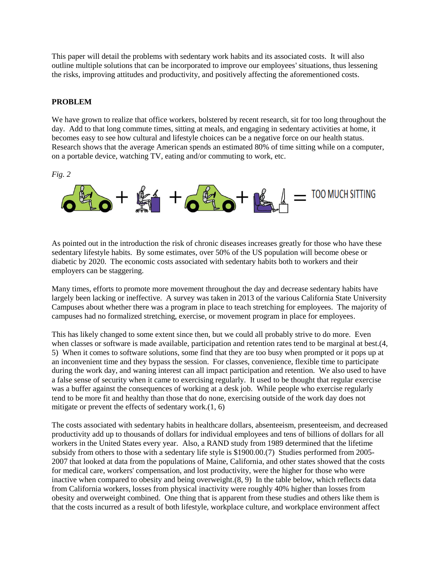This paper will detail the problems with sedentary work habits and its associated costs. It will also outline multiple solutions that can be incorporated to improve our employees' situations, thus lessening the risks, improving attitudes and productivity, and positively affecting the aforementioned costs.

### **PROBLEM**

We have grown to realize that office workers, bolstered by recent research, sit for too long throughout the day. Add to that long commute times, sitting at meals, and engaging in sedentary activities at home, it becomes easy to see how cultural and lifestyle choices can be a negative force on our health status. Research shows that the average American spends an estimated 80% of time sitting while on a computer, on a portable device, watching TV, eating and/or commuting to work, etc.

*Fig. 2*



As pointed out in the introduction the risk of chronic diseases increases greatly for those who have these sedentary lifestyle habits. By some estimates, over 50% of the US population will become obese or diabetic by 2020. The economic costs associated with sedentary habits both to workers and their employers can be staggering.

Many times, efforts to promote more movement throughout the day and decrease sedentary habits have largely been lacking or ineffective. A survey was taken in 2013 of the various California State University Campuses about whether there was a program in place to teach stretching for employees. The majority of campuses had no formalized stretching, exercise, or movement program in place for employees.

This has likely changed to some extent since then, but we could all probably strive to do more. Even when classes or software is made available, participation and retention rates tend to be marginal at best.(4, 5) When it comes to software solutions, some find that they are too busy when prompted or it pops up at an inconvenient time and they bypass the session. For classes, convenience, flexible time to participate during the work day, and waning interest can all impact participation and retention. We also used to have a false sense of security when it came to exercising regularly. It used to be thought that regular exercise was a buffer against the consequences of working at a desk job. While people who exercise regularly tend to be more fit and healthy than those that do none, exercising outside of the work day does not mitigate or prevent the effects of sedentary work.(1, 6)

The costs associated with sedentary habits in healthcare dollars, absenteeism, presenteeism, and decreased productivity add up to thousands of dollars for individual employees and tens of billions of dollars for all workers in the United States every year. Also, a RAND study from 1989 determined that the lifetime subsidy from others to those with a sedentary life style is \$1900.00.(7) Studies performed from 2005- 2007 that looked at data from the populations of Maine, California, and other states showed that the costs for medical care, workers' compensation, and lost productivity, were the higher for those who were inactive when compared to obesity and being overweight.(8, 9) In the table below, which reflects data from California workers, losses from physical inactivity were roughly 40% higher than losses from obesity and overweight combined. One thing that is apparent from these studies and others like them is that the costs incurred as a result of both lifestyle, workplace culture, and workplace environment affect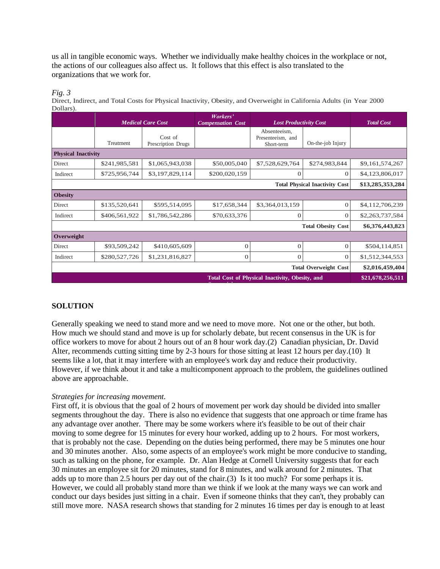us all in tangible economic ways. Whether we individually make healthy choices in the workplace or not, the actions of our colleagues also affect us. It follows that this effect is also translated to the organizations that we work for.

*Fig. 3*

Direct, Indirect, and Total Costs for Physical Inactivity, Obesity, and Overweight in California Adults (in Year 2000 Dollars).

|                                                        |               | <b>Medical Care Cost</b>      |               | <b>Lost Productivity Cost</b>                   |                   | <b>Total Cost</b> |
|--------------------------------------------------------|---------------|-------------------------------|---------------|-------------------------------------------------|-------------------|-------------------|
|                                                        | Treatment     | Cost of<br>Prescription Drugs |               | Absenteeism,<br>Presenteeism, and<br>Short-term | On-the-job Injury |                   |
| <b>Physical Inactivity</b>                             |               |                               |               |                                                 |                   |                   |
| Direct                                                 | \$241,985,581 | \$1,065,943,038               | \$50,005,040  | \$7,528,629,764                                 | \$274,983,844     | \$9,161,574,267   |
| Indirect                                               | \$725,956,744 | \$3,197,829,114               | \$200,020,159 | $\theta$                                        | $\theta$          | \$4,123,806,017   |
| <b>Total Physical Inactivity Cost</b>                  |               |                               |               |                                                 | \$13,285,353,284  |                   |
| <b>Obesity</b>                                         |               |                               |               |                                                 |                   |                   |
| Direct                                                 | \$135,520,641 | \$595,514,095                 | \$17,658,344  | \$3,364,013,159                                 | $\theta$          | \$4,112,706,239   |
| Indirect                                               | \$406,561,922 | \$1,786,542,286               | \$70,633,376  | $\theta$                                        | $\theta$          | \$2,263,737,584   |
|                                                        |               |                               |               | <b>Total Obesity Cost</b>                       | \$6,376,443,823   |                   |
| Overweight                                             |               |                               |               |                                                 |                   |                   |
| <b>Direct</b>                                          | \$93,509,242  | \$410,605,609                 | $\theta$      | $\Omega$                                        | $\theta$          | \$504,114,851     |
| Indirect                                               | \$280,527,726 | \$1,231,816,827               | $\theta$      | $\theta$                                        | $\overline{0}$    | \$1,512,344,553   |
| <b>Total Overweight Cost</b>                           |               |                               |               |                                                 | \$2,016,459,404   |                   |
| <b>Total Cost of Physical Inactivity, Obesity, and</b> |               |                               |               |                                                 | \$21,678,256,511  |                   |
|                                                        |               |                               |               |                                                 |                   |                   |

## **SOLUTION**

Generally speaking we need to stand more and we need to move more. Not one or the other, but both. How much we should stand and move is up for scholarly debate, but recent consensus in the UK is for office workers to move for about 2 hours out of an 8 hour work day.(2) Canadian physician, Dr. David Alter, recommends cutting sitting time by 2-3 hours for those sitting at least 12 hours per day.(10) It seems like a lot, that it may interfere with an employee's work day and reduce their productivity. However, if we think about it and take a multicomponent approach to the problem, the guidelines outlined above are approachable.

### *Strategies for increasing movement.*

First off, it is obvious that the goal of 2 hours of movement per work day should be divided into smaller segments throughout the day. There is also no evidence that suggests that one approach or time frame has any advantage over another. There may be some workers where it's feasible to be out of their chair moving to some degree for 15 minutes for every hour worked, adding up to 2 hours. For most workers, that is probably not the case. Depending on the duties being performed, there may be 5 minutes one hour and 30 minutes another. Also, some aspects of an employee's work might be more conducive to standing, such as talking on the phone, for example. Dr. Alan Hedge at Cornell University suggests that for each 30 minutes an employee sit for 20 minutes, stand for 8 minutes, and walk around for 2 minutes. That adds up to more than 2.5 hours per day out of the chair.(3) Is it too much? For some perhaps it is. However, we could all probably stand more than we think if we look at the many ways we can work and conduct our days besides just sitting in a chair. Even if someone thinks that they can't, they probably can still move more. NASA research shows that standing for 2 minutes 16 times per day is enough to at least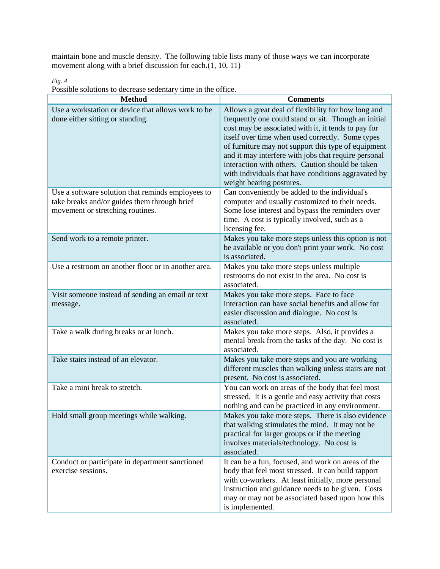maintain bone and muscle density. The following table lists many of those ways we can incorporate movement along with a brief discussion for each.(1, 10, 11)

|  | Possible solutions to decrease sedentary time in the office. |  |  |  |
|--|--------------------------------------------------------------|--|--|--|

| <b>Method</b>                                                                                                                         | <b>Comments</b>                                                                                                                                                                                                                                                                                                                                                                                                                                                              |
|---------------------------------------------------------------------------------------------------------------------------------------|------------------------------------------------------------------------------------------------------------------------------------------------------------------------------------------------------------------------------------------------------------------------------------------------------------------------------------------------------------------------------------------------------------------------------------------------------------------------------|
| Use a workstation or device that allows work to be<br>done either sitting or standing.                                                | Allows a great deal of flexibility for how long and<br>frequently one could stand or sit. Though an initial<br>cost may be associated with it, it tends to pay for<br>itself over time when used correctly. Some types<br>of furniture may not support this type of equipment<br>and it may interfere with jobs that require personal<br>interaction with others. Caution should be taken<br>with individuals that have conditions aggravated by<br>weight bearing postures. |
| Use a software solution that reminds employees to<br>take breaks and/or guides them through brief<br>movement or stretching routines. | Can conveniently be added to the individual's<br>computer and usually customized to their needs.<br>Some lose interest and bypass the reminders over<br>time. A cost is typically involved, such as a<br>licensing fee.                                                                                                                                                                                                                                                      |
| Send work to a remote printer.                                                                                                        | Makes you take more steps unless this option is not<br>be available or you don't print your work. No cost<br>is associated.                                                                                                                                                                                                                                                                                                                                                  |
| Use a restroom on another floor or in another area.                                                                                   | Makes you take more steps unless multiple<br>restrooms do not exist in the area. No cost is<br>associated.                                                                                                                                                                                                                                                                                                                                                                   |
| Visit someone instead of sending an email or text<br>message.                                                                         | Makes you take more steps. Face to face<br>interaction can have social benefits and allow for<br>easier discussion and dialogue. No cost is<br>associated.                                                                                                                                                                                                                                                                                                                   |
| Take a walk during breaks or at lunch.                                                                                                | Makes you take more steps. Also, it provides a<br>mental break from the tasks of the day. No cost is<br>associated.                                                                                                                                                                                                                                                                                                                                                          |
| Take stairs instead of an elevator.                                                                                                   | Makes you take more steps and you are working<br>different muscles than walking unless stairs are not<br>present. No cost is associated.                                                                                                                                                                                                                                                                                                                                     |
| Take a mini break to stretch.                                                                                                         | You can work on areas of the body that feel most<br>stressed. It is a gentle and easy activity that costs<br>nothing and can be practiced in any environment.                                                                                                                                                                                                                                                                                                                |
| Hold small group meetings while walking.                                                                                              | Makes you take more steps. There is also evidence<br>that walking stimulates the mind. It may not be<br>practical for larger groups or if the meeting<br>involves materials/technology. No cost is<br>associated.                                                                                                                                                                                                                                                            |
| Conduct or participate in department sanctioned<br>exercise sessions.                                                                 | It can be a fun, focused, and work on areas of the<br>body that feel most stressed. It can build rapport<br>with co-workers. At least initially, more personal<br>instruction and guidance needs to be given. Costs<br>may or may not be associated based upon how this<br>is implemented.                                                                                                                                                                                   |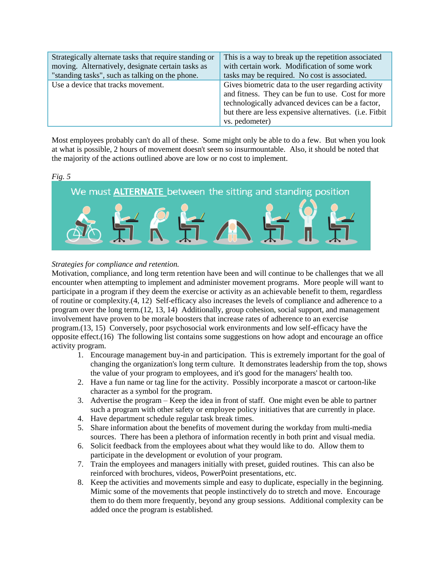| Strategically alternate tasks that require standing or | This is a way to break up the repetition associated                                                                                                                                                                                         |
|--------------------------------------------------------|---------------------------------------------------------------------------------------------------------------------------------------------------------------------------------------------------------------------------------------------|
| moving. Alternatively, designate certain tasks as      | with certain work. Modification of some work                                                                                                                                                                                                |
| "standing tasks", such as talking on the phone.        | tasks may be required. No cost is associated.                                                                                                                                                                                               |
| Use a device that tracks movement.                     | Gives biometric data to the user regarding activity<br>and fitness. They can be fun to use. Cost for more<br>technologically advanced devices can be a factor,<br>but there are less expensive alternatives. (i.e. Fitbit<br>vs. pedometer) |

Most employees probably can't do all of these. Some might only be able to do a few. But when you look at what is possible, 2 hours of movement doesn't seem so insurmountable. Also, it should be noted that the majority of the actions outlined above are low or no cost to implement.

## *Fig. 5*



## *Strategies for compliance and retention.*

Motivation, compliance, and long term retention have been and will continue to be challenges that we all encounter when attempting to implement and administer movement programs. More people will want to participate in a program if they deem the exercise or activity as an achievable benefit to them, regardless of routine or complexity.(4, 12) Self-efficacy also increases the levels of compliance and adherence to a program over the long term.(12, 13, 14) Additionally, group cohesion, social support, and management involvement have proven to be morale boosters that increase rates of adherence to an exercise program.(13, 15) Conversely, poor psychosocial work environments and low self-efficacy have the opposite effect.(16) The following list contains some suggestions on how adopt and encourage an office activity program.

- 1. Encourage management buy-in and participation. This is extremely important for the goal of changing the organization's long term culture. It demonstrates leadership from the top, shows the value of your program to employees, and it's good for the managers' health too.
- 2. Have a fun name or tag line for the activity. Possibly incorporate a mascot or cartoon-like character as a symbol for the program.
- 3. Advertise the program Keep the idea in front of staff. One might even be able to partner such a program with other safety or employee policy initiatives that are currently in place.
- 4. Have department schedule regular task break times.
- 5. Share information about the benefits of movement during the workday from multi-media sources. There has been a plethora of information recently in both print and visual media.
- 6. Solicit feedback from the employees about what they would like to do. Allow them to participate in the development or evolution of your program.
- 7. Train the employees and managers initially with preset, guided routines. This can also be reinforced with brochures, videos, PowerPoint presentations, etc.
- 8. Keep the activities and movements simple and easy to duplicate, especially in the beginning. Mimic some of the movements that people instinctively do to stretch and move. Encourage them to do them more frequently, beyond any group sessions. Additional complexity can be added once the program is established.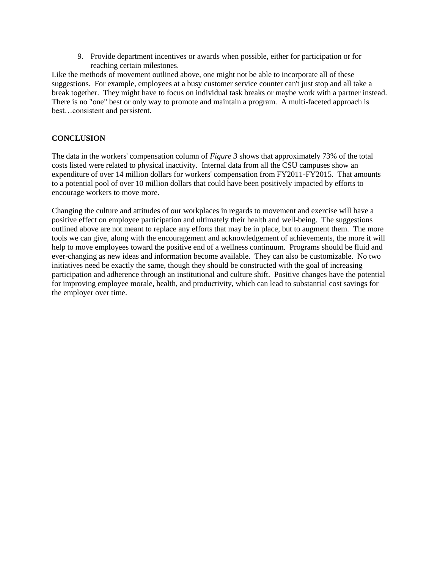9. Provide department incentives or awards when possible, either for participation or for reaching certain milestones.

Like the methods of movement outlined above, one might not be able to incorporate all of these suggestions. For example, employees at a busy customer service counter can't just stop and all take a break together. They might have to focus on individual task breaks or maybe work with a partner instead. There is no "one" best or only way to promote and maintain a program. A multi-faceted approach is best…consistent and persistent.

## **CONCLUSION**

The data in the workers' compensation column of *Figure 3* shows that approximately 73% of the total costs listed were related to physical inactivity. Internal data from all the CSU campuses show an expenditure of over 14 million dollars for workers' compensation from FY2011-FY2015. That amounts to a potential pool of over 10 million dollars that could have been positively impacted by efforts to encourage workers to move more.

Changing the culture and attitudes of our workplaces in regards to movement and exercise will have a positive effect on employee participation and ultimately their health and well-being. The suggestions outlined above are not meant to replace any efforts that may be in place, but to augment them. The more tools we can give, along with the encouragement and acknowledgement of achievements, the more it will help to move employees toward the positive end of a wellness continuum. Programs should be fluid and ever-changing as new ideas and information become available. They can also be customizable. No two initiatives need be exactly the same, though they should be constructed with the goal of increasing participation and adherence through an institutional and culture shift. Positive changes have the potential for improving employee morale, health, and productivity, which can lead to substantial cost savings for the employer over time.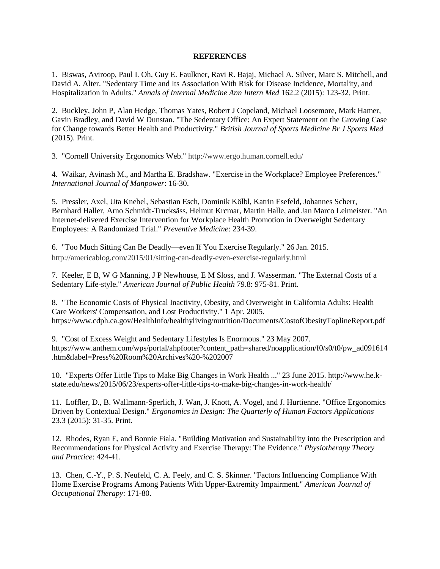#### **REFERENCES**

1. Biswas, Aviroop, Paul I. Oh, Guy E. Faulkner, Ravi R. Bajaj, Michael A. Silver, Marc S. Mitchell, and David A. Alter. "Sedentary Time and Its Association With Risk for Disease Incidence, Mortality, and Hospitalization in Adults." *Annals of Internal Medicine Ann Intern Med* 162.2 (2015): 123-32. Print.

2. Buckley, John P, Alan Hedge, Thomas Yates, Robert J Copeland, Michael Loosemore, Mark Hamer, Gavin Bradley, and David W Dunstan. "The Sedentary Office: An Expert Statement on the Growing Case for Change towards Better Health and Productivity." *British Journal of Sports Medicine Br J Sports Med* (2015). Print.

3. "Cornell University Ergonomics Web." http://www.ergo.human.cornell.edu/

4. Waikar, Avinash M., and Martha E. Bradshaw. "Exercise in the Workplace? Employee Preferences." *International Journal of Manpower*: 16-30.

5. Pressler, Axel, Uta Knebel, Sebastian Esch, Dominik Kölbl, Katrin Esefeld, Johannes Scherr, Bernhard Haller, Arno Schmidt-Trucksäss, Helmut Krcmar, Martin Halle, and Jan Marco Leimeister. "An Internet-delivered Exercise Intervention for Workplace Health Promotion in Overweight Sedentary Employees: A Randomized Trial." *Preventive Medicine*: 234-39.

6. "Too Much Sitting Can Be Deadly—even If You Exercise Regularly." 26 Jan. 2015. http://americablog.com/2015/01/sitting-can-deadly-even-exercise-regularly.html

7. Keeler, E B, W G Manning, J P Newhouse, E M Sloss, and J. Wasserman. "The External Costs of a Sedentary Life-style." *American Journal of Public Health* 79.8: 975-81. Print.

8. "The Economic Costs of Physical Inactivity, Obesity, and Overweight in California Adults: Health Care Workers' Compensation, and Lost Productivity." 1 Apr. 2005. https://www.cdph.ca.gov/HealthInfo/healthyliving/nutrition/Documents/CostofObesityToplineReport.pdf

9. "Cost of Excess Weight and Sedentary Lifestyles Is Enormous." 23 May 2007. https://www.anthem.com/wps/portal/ahpfooter?content\_path=shared/noapplication/f0/s0/t0/pw\_ad091614 .htm&label=Press%20Room%20Archives%20-%202007

10. "Experts Offer Little Tips to Make Big Changes in Work Health ..." 23 June 2015. http://www.he.kstate.edu/news/2015/06/23/experts-offer-little-tips-to-make-big-changes-in-work-health/

11. Loffler, D., B. Wallmann-Sperlich, J. Wan, J. Knott, A. Vogel, and J. Hurtienne. "Office Ergonomics Driven by Contextual Design." *Ergonomics in Design: The Quarterly of Human Factors Applications* 23.3 (2015): 31-35. Print.

12. Rhodes, Ryan E, and Bonnie Fiala. "Building Motivation and Sustainability into the Prescription and Recommendations for Physical Activity and Exercise Therapy: The Evidence." *Physiotherapy Theory and Practice*: 424-41.

13. Chen, C.-Y., P. S. Neufeld, C. A. Feely, and C. S. Skinner. "Factors Influencing Compliance With Home Exercise Programs Among Patients With Upper-Extremity Impairment." *American Journal of Occupational Therapy*: 171-80.